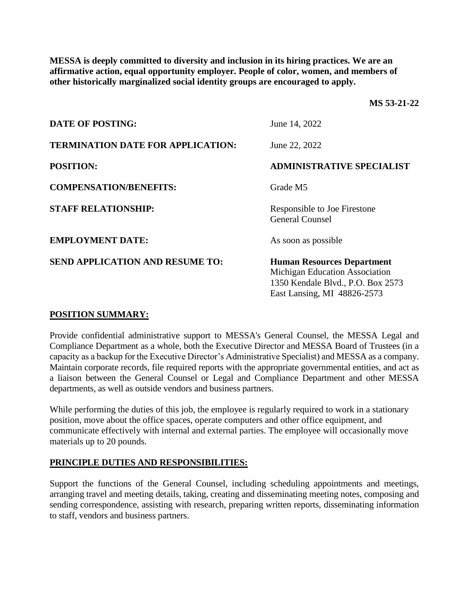**MESSA is deeply committed to diversity and inclusion in its hiring practices. We are an affirmative action, equal opportunity employer. People of color, women, and members of other historically marginalized social identity groups are encouraged to apply.**

**MS 53-21-22**

| <b>DATE OF POSTING:</b>                  | June 14, 2022                                                                                                                           |
|------------------------------------------|-----------------------------------------------------------------------------------------------------------------------------------------|
| <b>TERMINATION DATE FOR APPLICATION:</b> | June 22, 2022                                                                                                                           |
| <b>POSITION:</b>                         | <b>ADMINISTRATIVE SPECIALIST</b>                                                                                                        |
| <b>COMPENSATION/BENEFITS:</b>            | Grade M5                                                                                                                                |
| <b>STAFF RELATIONSHIP:</b>               | Responsible to Joe Firestone<br><b>General Counsel</b>                                                                                  |
| <b>EMPLOYMENT DATE:</b>                  | As soon as possible                                                                                                                     |
| <b>SEND APPLICATION AND RESUME TO:</b>   | <b>Human Resources Department</b><br>Michigan Education Association<br>1350 Kendale Blvd., P.O. Box 2573<br>East Lansing, MI 48826-2573 |

# **POSITION SUMMARY:**

Provide confidential administrative support to MESSA's General Counsel, the MESSA Legal and Compliance Department as a whole, both the Executive Director and MESSA Board of Trustees (in a capacity as a backup for the Executive Director's Administrative Specialist) and MESSA as a company. Maintain corporate records, file required reports with the appropriate governmental entities, and act as a liaison between the General Counsel or Legal and Compliance Department and other MESSA departments, as well as outside vendors and business partners.

While performing the duties of this job, the employee is regularly required to work in a stationary position, move about the office spaces, operate computers and other office equipment, and communicate effectively with internal and external parties. The employee will occasionally move materials up to 20 pounds.

# **PRINCIPLE DUTIES AND RESPONSIBILITIES:**

Support the functions of the General Counsel, including scheduling appointments and meetings, arranging travel and meeting details, taking, creating and disseminating meeting notes, composing and sending correspondence, assisting with research, preparing written reports, disseminating information to staff, vendors and business partners.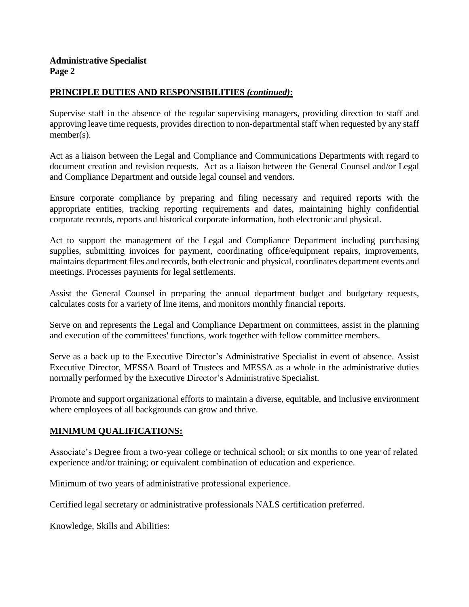# **PRINCIPLE DUTIES AND RESPONSIBILITIES** *(continued)***:**

Supervise staff in the absence of the regular supervising managers, providing direction to staff and approving leave time requests, provides direction to non-departmental staff when requested by any staff member(s).

Act as a liaison between the Legal and Compliance and Communications Departments with regard to document creation and revision requests. Act as a liaison between the General Counsel and/or Legal and Compliance Department and outside legal counsel and vendors.

Ensure corporate compliance by preparing and filing necessary and required reports with the appropriate entities, tracking reporting requirements and dates, maintaining highly confidential corporate records, reports and historical corporate information, both electronic and physical.

Act to support the management of the Legal and Compliance Department including purchasing supplies, submitting invoices for payment, coordinating office/equipment repairs, improvements, maintains department files and records, both electronic and physical, coordinates department events and meetings. Processes payments for legal settlements.

Assist the General Counsel in preparing the annual department budget and budgetary requests, calculates costs for a variety of line items, and monitors monthly financial reports.

Serve on and represents the Legal and Compliance Department on committees, assist in the planning and execution of the committees' functions, work together with fellow committee members.

Serve as a back up to the Executive Director's Administrative Specialist in event of absence. Assist Executive Director, MESSA Board of Trustees and MESSA as a whole in the administrative duties normally performed by the Executive Director's Administrative Specialist.

Promote and support organizational efforts to maintain a diverse, equitable, and inclusive environment where employees of all backgrounds can grow and thrive.

# **MINIMUM QUALIFICATIONS:**

Associate's Degree from a two-year college or technical school; or six months to one year of related experience and/or training; or equivalent combination of education and experience.

Minimum of two years of administrative professional experience.

Certified legal secretary or administrative professionals NALS certification preferred.

Knowledge, Skills and Abilities: